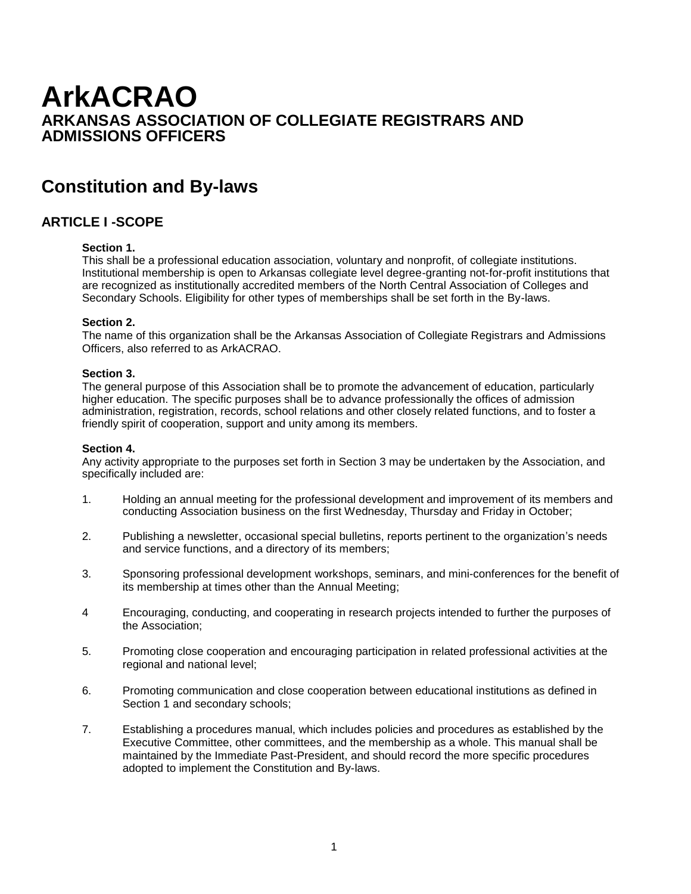# **ArkACRAO ARKANSAS ASSOCIATION OF COLLEGIATE REGISTRARS AND ADMISSIONS OFFICERS**

# **Constitution and By-laws**

# **ARTICLE I -SCOPE**

### **Section 1.**

This shall be a professional education association, voluntary and nonprofit, of collegiate institutions. Institutional membership is open to Arkansas collegiate level degree-granting not-for-profit institutions that are recognized as institutionally accredited members of the North Central Association of Colleges and Secondary Schools. Eligibility for other types of memberships shall be set forth in the By-laws.

#### **Section 2.**

The name of this organization shall be the Arkansas Association of Collegiate Registrars and Admissions Officers, also referred to as ArkACRAO.

#### **Section 3.**

The general purpose of this Association shall be to promote the advancement of education, particularly higher education. The specific purposes shall be to advance professionally the offices of admission administration, registration, records, school relations and other closely related functions, and to foster a friendly spirit of cooperation, support and unity among its members.

#### **Section 4.**

Any activity appropriate to the purposes set forth in Section 3 may be undertaken by the Association, and specifically included are:

- 1. Holding an annual meeting for the professional development and improvement of its members and conducting Association business on the first Wednesday, Thursday and Friday in October;
- 2. Publishing a newsletter, occasional special bulletins, reports pertinent to the organization's needs and service functions, and a directory of its members;
- 3. Sponsoring professional development workshops, seminars, and mini-conferences for the benefit of its membership at times other than the Annual Meeting;
- 4 Encouraging, conducting, and cooperating in research projects intended to further the purposes of the Association;
- 5. Promoting close cooperation and encouraging participation in related professional activities at the regional and national level;
- 6. Promoting communication and close cooperation between educational institutions as defined in Section 1 and secondary schools;
- 7. Establishing a procedures manual, which includes policies and procedures as established by the Executive Committee, other committees, and the membership as a whole. This manual shall be maintained by the Immediate Past-President, and should record the more specific procedures adopted to implement the Constitution and By-laws.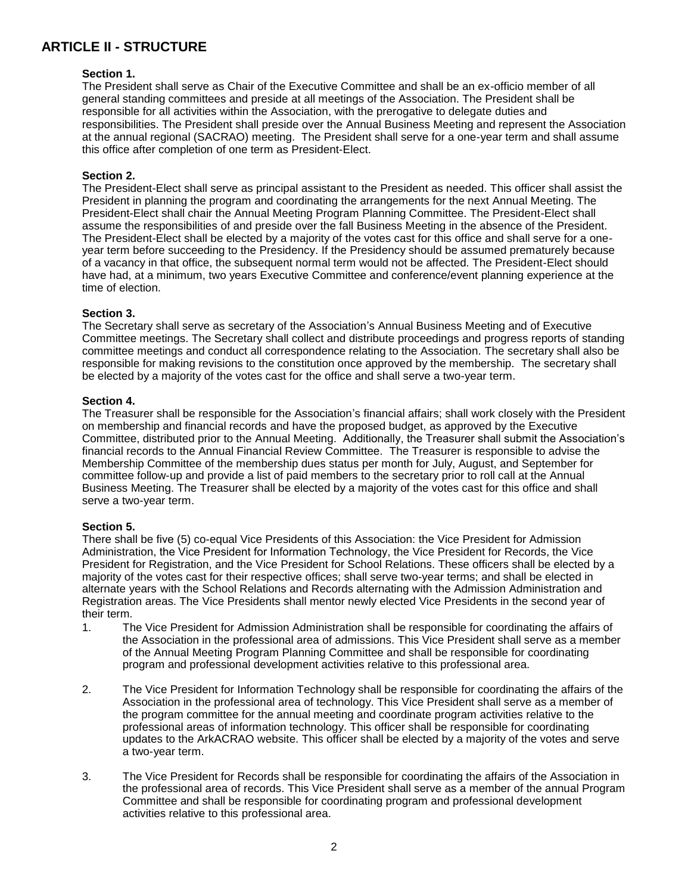# **ARTICLE II - STRUCTURE**

#### **Section 1.**

The President shall serve as Chair of the Executive Committee and shall be an ex-officio member of all general standing committees and preside at all meetings of the Association. The President shall be responsible for all activities within the Association, with the prerogative to delegate duties and responsibilities. The President shall preside over the Annual Business Meeting and represent the Association at the annual regional (SACRAO) meeting. The President shall serve for a one-year term and shall assume this office after completion of one term as President-Elect.

#### **Section 2.**

The President-Elect shall serve as principal assistant to the President as needed. This officer shall assist the President in planning the program and coordinating the arrangements for the next Annual Meeting. The President-Elect shall chair the Annual Meeting Program Planning Committee. The President-Elect shall assume the responsibilities of and preside over the fall Business Meeting in the absence of the President. The President-Elect shall be elected by a majority of the votes cast for this office and shall serve for a oneyear term before succeeding to the Presidency. If the Presidency should be assumed prematurely because of a vacancy in that office, the subsequent normal term would not be affected. The President-Elect should have had, at a minimum, two years Executive Committee and conference/event planning experience at the time of election.

#### **Section 3.**

The Secretary shall serve as secretary of the Association's Annual Business Meeting and of Executive Committee meetings. The Secretary shall collect and distribute proceedings and progress reports of standing committee meetings and conduct all correspondence relating to the Association. The secretary shall also be responsible for making revisions to the constitution once approved by the membership. The secretary shall be elected by a majority of the votes cast for the office and shall serve a two-year term.

#### **Section 4.**

The Treasurer shall be responsible for the Association's financial affairs; shall work closely with the President on membership and financial records and have the proposed budget, as approved by the Executive Committee, distributed prior to the Annual Meeting. Additionally, the Treasurer shall submit the Association's financial records to the Annual Financial Review Committee. The Treasurer is responsible to advise the Membership Committee of the membership dues status per month for July, August, and September for committee follow-up and provide a list of paid members to the secretary prior to roll call at the Annual Business Meeting. The Treasurer shall be elected by a majority of the votes cast for this office and shall serve a two-year term.

#### **Section 5.**

There shall be five (5) co-equal Vice Presidents of this Association: the Vice President for Admission Administration, the Vice President for Information Technology, the Vice President for Records, the Vice President for Registration, and the Vice President for School Relations. These officers shall be elected by a majority of the votes cast for their respective offices; shall serve two-year terms; and shall be elected in alternate years with the School Relations and Records alternating with the Admission Administration and Registration areas. The Vice Presidents shall mentor newly elected Vice Presidents in the second year of their term.

- 1. The Vice President for Admission Administration shall be responsible for coordinating the affairs of the Association in the professional area of admissions. This Vice President shall serve as a member of the Annual Meeting Program Planning Committee and shall be responsible for coordinating program and professional development activities relative to this professional area.
- 2. The Vice President for Information Technology shall be responsible for coordinating the affairs of the Association in the professional area of technology. This Vice President shall serve as a member of the program committee for the annual meeting and coordinate program activities relative to the professional areas of information technology. This officer shall be responsible for coordinating updates to the ArkACRAO website. This officer shall be elected by a majority of the votes and serve a two-year term.
- 3. The Vice President for Records shall be responsible for coordinating the affairs of the Association in the professional area of records. This Vice President shall serve as a member of the annual Program Committee and shall be responsible for coordinating program and professional development activities relative to this professional area.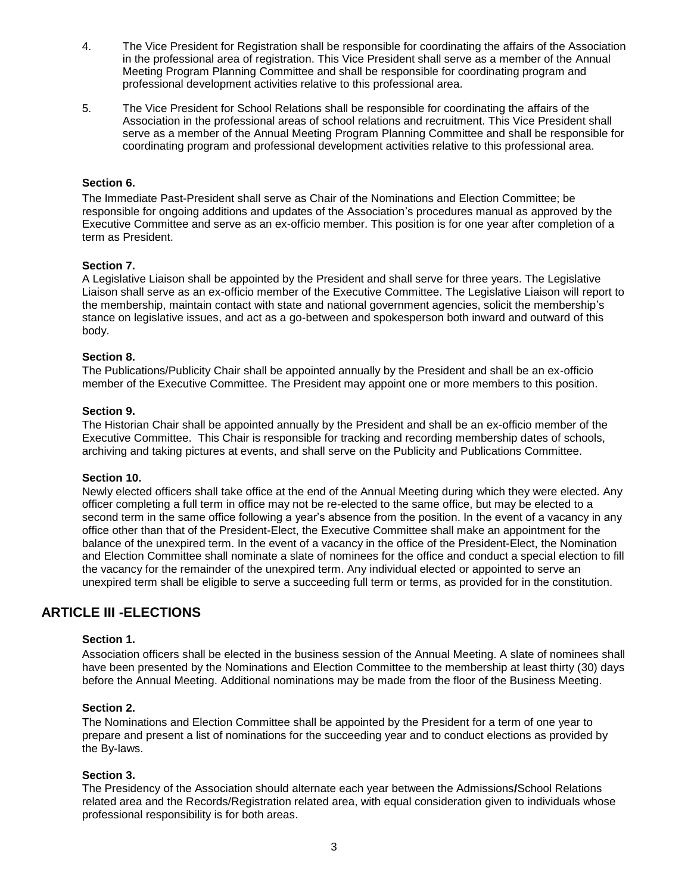- 4. The Vice President for Registration shall be responsible for coordinating the affairs of the Association in the professional area of registration. This Vice President shall serve as a member of the Annual Meeting Program Planning Committee and shall be responsible for coordinating program and professional development activities relative to this professional area.
- 5. The Vice President for School Relations shall be responsible for coordinating the affairs of the Association in the professional areas of school relations and recruitment. This Vice President shall serve as a member of the Annual Meeting Program Planning Committee and shall be responsible for coordinating program and professional development activities relative to this professional area.

#### **Section 6.**

The Immediate Past-President shall serve as Chair of the Nominations and Election Committee; be responsible for ongoing additions and updates of the Association's procedures manual as approved by the Executive Committee and serve as an ex-officio member. This position is for one year after completion of a term as President.

#### **Section 7.**

A Legislative Liaison shall be appointed by the President and shall serve for three years. The Legislative Liaison shall serve as an ex-officio member of the Executive Committee. The Legislative Liaison will report to the membership, maintain contact with state and national government agencies, solicit the membership's stance on legislative issues, and act as a go-between and spokesperson both inward and outward of this body.

#### **Section 8.**

The Publications/Publicity Chair shall be appointed annually by the President and shall be an ex-officio member of the Executive Committee. The President may appoint one or more members to this position.

#### **Section 9.**

The Historian Chair shall be appointed annually by the President and shall be an ex-officio member of the Executive Committee. This Chair is responsible for tracking and recording membership dates of schools, archiving and taking pictures at events, and shall serve on the Publicity and Publications Committee.

#### **Section 10.**

Newly elected officers shall take office at the end of the Annual Meeting during which they were elected. Any officer completing a full term in office may not be re-elected to the same office, but may be elected to a second term in the same office following a year's absence from the position. In the event of a vacancy in any office other than that of the President-Elect, the Executive Committee shall make an appointment for the balance of the unexpired term. In the event of a vacancy in the office of the President-Elect, the Nomination and Election Committee shall nominate a slate of nominees for the office and conduct a special election to fill the vacancy for the remainder of the unexpired term. Any individual elected or appointed to serve an unexpired term shall be eligible to serve a succeeding full term or terms, as provided for in the constitution.

## **ARTICLE III -ELECTIONS**

#### **Section 1.**

Association officers shall be elected in the business session of the Annual Meeting. A slate of nominees shall have been presented by the Nominations and Election Committee to the membership at least thirty (30) days before the Annual Meeting. Additional nominations may be made from the floor of the Business Meeting.

#### **Section 2.**

The Nominations and Election Committee shall be appointed by the President for a term of one year to prepare and present a list of nominations for the succeeding year and to conduct elections as provided by the By-laws.

#### **Section 3.**

The Presidency of the Association should alternate each year between the Admissions**/**School Relations related area and the Records/Registration related area, with equal consideration given to individuals whose professional responsibility is for both areas.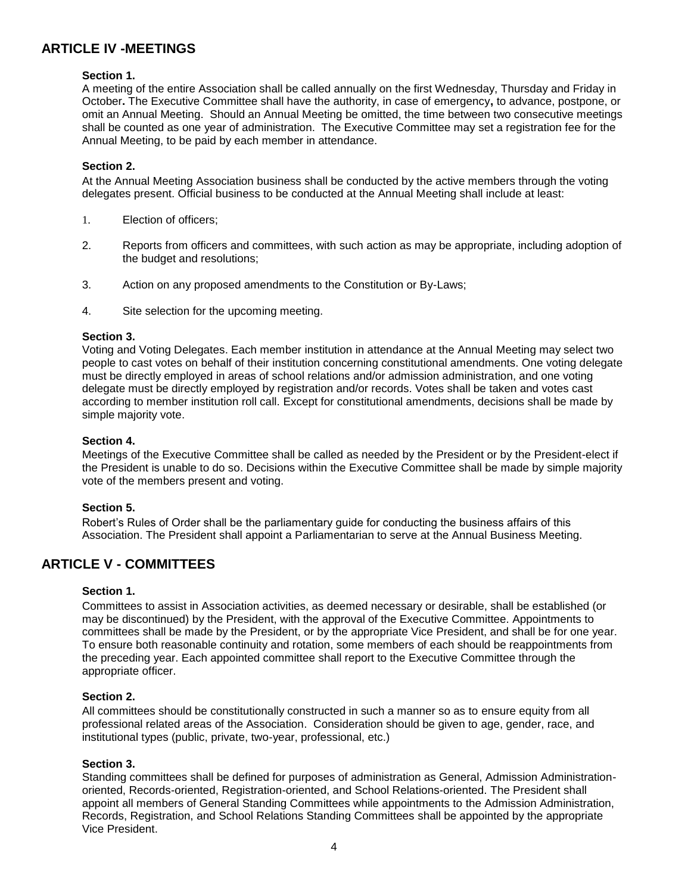# **ARTICLE IV -MEETINGS**

#### **Section 1.**

A meeting of the entire Association shall be called annually on the first Wednesday, Thursday and Friday in October**.** The Executive Committee shall have the authority, in case of emergency**,** to advance, postpone, or omit an Annual Meeting. Should an Annual Meeting be omitted, the time between two consecutive meetings shall be counted as one year of administration. The Executive Committee may set a registration fee for the Annual Meeting, to be paid by each member in attendance.

#### **Section 2.**

At the Annual Meeting Association business shall be conducted by the active members through the voting delegates present. Official business to be conducted at the Annual Meeting shall include at least:

- 1. Election of officers;
- 2. Reports from officers and committees, with such action as may be appropriate, including adoption of the budget and resolutions;
- 3. Action on any proposed amendments to the Constitution or By-Laws;
- 4. Site selection for the upcoming meeting.

#### **Section 3.**

Voting and Voting Delegates. Each member institution in attendance at the Annual Meeting may select two people to cast votes on behalf of their institution concerning constitutional amendments. One voting delegate must be directly employed in areas of school relations and/or admission administration, and one voting delegate must be directly employed by registration and/or records. Votes shall be taken and votes cast according to member institution roll call. Except for constitutional amendments, decisions shall be made by simple majority vote.

#### **Section 4.**

Meetings of the Executive Committee shall be called as needed by the President or by the President-elect if the President is unable to do so. Decisions within the Executive Committee shall be made by simple majority vote of the members present and voting.

#### **Section 5.**

Robert's Rules of Order shall be the parliamentary guide for conducting the business affairs of this Association. The President shall appoint a Parliamentarian to serve at the Annual Business Meeting.

### **ARTICLE V - COMMITTEES**

#### **Section 1.**

Committees to assist in Association activities, as deemed necessary or desirable, shall be established (or may be discontinued) by the President, with the approval of the Executive Committee. Appointments to committees shall be made by the President, or by the appropriate Vice President, and shall be for one year. To ensure both reasonable continuity and rotation, some members of each should be reappointments from the preceding year. Each appointed committee shall report to the Executive Committee through the appropriate officer.

#### **Section 2.**

All committees should be constitutionally constructed in such a manner so as to ensure equity from all professional related areas of the Association. Consideration should be given to age, gender, race, and institutional types (public, private, two-year, professional, etc.)

#### **Section 3.**

Standing committees shall be defined for purposes of administration as General, Admission Administrationoriented, Records-oriented, Registration-oriented, and School Relations-oriented. The President shall appoint all members of General Standing Committees while appointments to the Admission Administration, Records, Registration, and School Relations Standing Committees shall be appointed by the appropriate Vice President.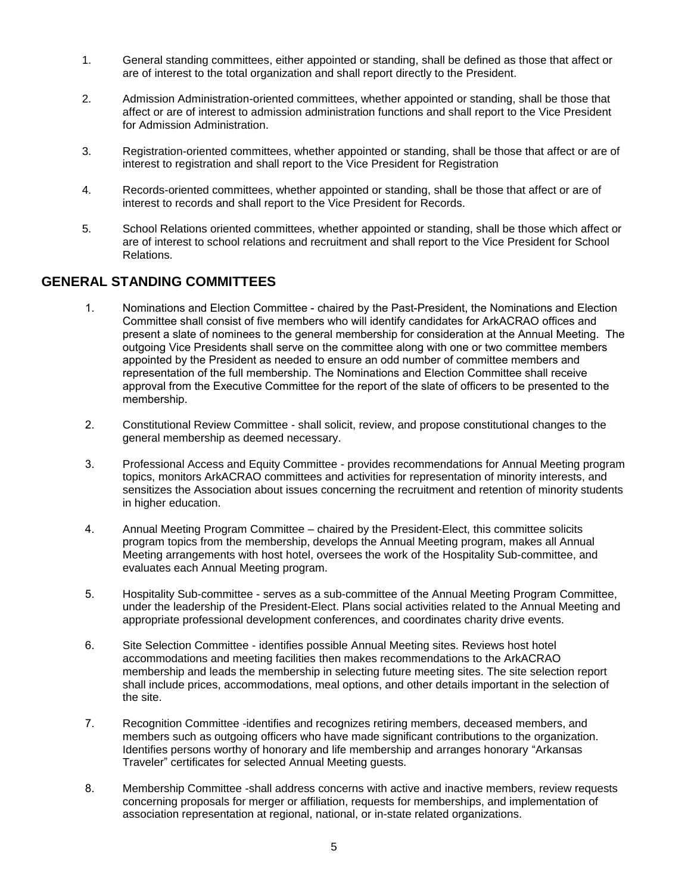- 1. General standing committees, either appointed or standing, shall be defined as those that affect or are of interest to the total organization and shall report directly to the President.
- 2. Admission Administration-oriented committees, whether appointed or standing, shall be those that affect or are of interest to admission administration functions and shall report to the Vice President for Admission Administration.
- 3. Registration-oriented committees, whether appointed or standing, shall be those that affect or are of interest to registration and shall report to the Vice President for Registration
- 4. Records-oriented committees, whether appointed or standing, shall be those that affect or are of interest to records and shall report to the Vice President for Records.
- 5. School Relations oriented committees, whether appointed or standing, shall be those which affect or are of interest to school relations and recruitment and shall report to the Vice President for School Relations.

### **GENERAL STANDING COMMITTEES**

- 1. Nominations and Election Committee chaired by the Past-President, the Nominations and Election Committee shall consist of five members who will identify candidates for ArkACRAO offices and present a slate of nominees to the general membership for consideration at the Annual Meeting. The outgoing Vice Presidents shall serve on the committee along with one or two committee members appointed by the President as needed to ensure an odd number of committee members and representation of the full membership. The Nominations and Election Committee shall receive approval from the Executive Committee for the report of the slate of officers to be presented to the membership.
- 2. Constitutional Review Committee shall solicit, review, and propose constitutional changes to the general membership as deemed necessary.
- 3. Professional Access and Equity Committee provides recommendations for Annual Meeting program topics, monitors ArkACRAO committees and activities for representation of minority interests, and sensitizes the Association about issues concerning the recruitment and retention of minority students in higher education.
- 4. Annual Meeting Program Committee chaired by the President-Elect, this committee solicits program topics from the membership, develops the Annual Meeting program, makes all Annual Meeting arrangements with host hotel, oversees the work of the Hospitality Sub-committee, and evaluates each Annual Meeting program.
- 5. Hospitality Sub-committee serves as a sub-committee of the Annual Meeting Program Committee, under the leadership of the President-Elect. Plans social activities related to the Annual Meeting and appropriate professional development conferences, and coordinates charity drive events.
- 6. Site Selection Committee identifies possible Annual Meeting sites. Reviews host hotel accommodations and meeting facilities then makes recommendations to the ArkACRAO membership and leads the membership in selecting future meeting sites. The site selection report shall include prices, accommodations, meal options, and other details important in the selection of the site.
- 7. Recognition Committee -identifies and recognizes retiring members, deceased members, and members such as outgoing officers who have made significant contributions to the organization. Identifies persons worthy of honorary and life membership and arranges honorary "Arkansas Traveler" certificates for selected Annual Meeting guests.
- 8. Membership Committee -shall address concerns with active and inactive members, review requests concerning proposals for merger or affiliation, requests for memberships, and implementation of association representation at regional, national, or in-state related organizations.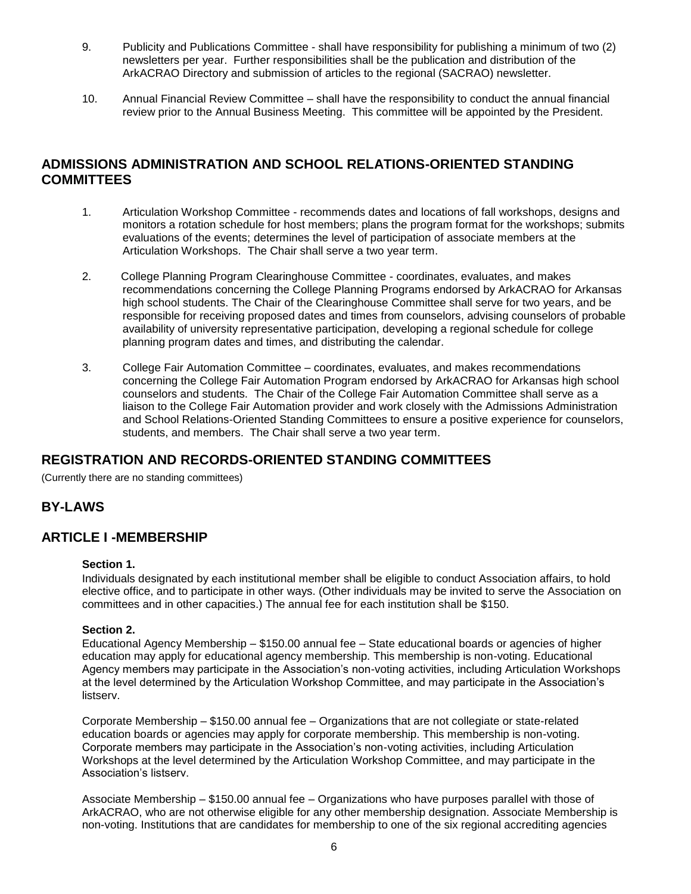- 9. Publicity and Publications Committee shall have responsibility for publishing a minimum of two (2) newsletters per year. Further responsibilities shall be the publication and distribution of the ArkACRAO Directory and submission of articles to the regional (SACRAO) newsletter.
- 10. Annual Financial Review Committee shall have the responsibility to conduct the annual financial review prior to the Annual Business Meeting. This committee will be appointed by the President.

# **ADMISSIONS ADMINISTRATION AND SCHOOL RELATIONS-ORIENTED STANDING COMMITTEES**

- 1. Articulation Workshop Committee recommends dates and locations of fall workshops, designs and monitors a rotation schedule for host members; plans the program format for the workshops; submits evaluations of the events; determines the level of participation of associate members at the Articulation Workshops. The Chair shall serve a two year term.
- 2. College Planning Program Clearinghouse Committee coordinates, evaluates, and makes recommendations concerning the College Planning Programs endorsed by ArkACRAO for Arkansas high school students. The Chair of the Clearinghouse Committee shall serve for two years, and be responsible for receiving proposed dates and times from counselors, advising counselors of probable availability of university representative participation, developing a regional schedule for college planning program dates and times, and distributing the calendar.
- 3. College Fair Automation Committee coordinates, evaluates, and makes recommendations concerning the College Fair Automation Program endorsed by ArkACRAO for Arkansas high school counselors and students. The Chair of the College Fair Automation Committee shall serve as a liaison to the College Fair Automation provider and work closely with the Admissions Administration and School Relations-Oriented Standing Committees to ensure a positive experience for counselors, students, and members. The Chair shall serve a two year term.

## **REGISTRATION AND RECORDS-ORIENTED STANDING COMMITTEES**

(Currently there are no standing committees)

## **BY-LAWS**

### **ARTICLE I -MEMBERSHIP**

#### **Section 1.**

Individuals designated by each institutional member shall be eligible to conduct Association affairs, to hold elective office, and to participate in other ways. (Other individuals may be invited to serve the Association on committees and in other capacities.) The annual fee for each institution shall be \$150.

#### **Section 2.**

Educational Agency Membership – \$150.00 annual fee – State educational boards or agencies of higher education may apply for educational agency membership. This membership is non-voting. Educational Agency members may participate in the Association's non-voting activities, including Articulation Workshops at the level determined by the Articulation Workshop Committee, and may participate in the Association's listserv.

Corporate Membership – \$150.00 annual fee – Organizations that are not collegiate or state-related education boards or agencies may apply for corporate membership. This membership is non-voting. Corporate members may participate in the Association's non-voting activities, including Articulation Workshops at the level determined by the Articulation Workshop Committee, and may participate in the Association's listserv.

Associate Membership – \$150.00 annual fee – Organizations who have purposes parallel with those of ArkACRAO, who are not otherwise eligible for any other membership designation. Associate Membership is non-voting. Institutions that are candidates for membership to one of the six regional accrediting agencies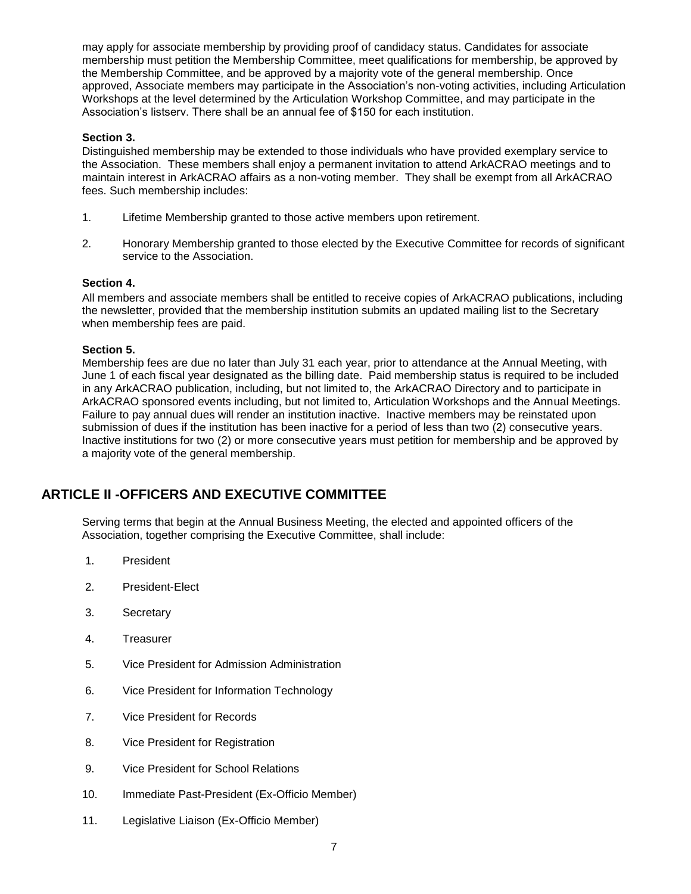may apply for associate membership by providing proof of candidacy status. Candidates for associate membership must petition the Membership Committee, meet qualifications for membership, be approved by the Membership Committee, and be approved by a majority vote of the general membership. Once approved, Associate members may participate in the Association's non-voting activities, including Articulation Workshops at the level determined by the Articulation Workshop Committee, and may participate in the Association's listserv. There shall be an annual fee of \$150 for each institution.

#### **Section 3.**

Distinguished membership may be extended to those individuals who have provided exemplary service to the Association. These members shall enjoy a permanent invitation to attend ArkACRAO meetings and to maintain interest in ArkACRAO affairs as a non-voting member. They shall be exempt from all ArkACRAO fees. Such membership includes:

- 1. Lifetime Membership granted to those active members upon retirement.
- 2. Honorary Membership granted to those elected by the Executive Committee for records of significant service to the Association.

### **Section 4.**

All members and associate members shall be entitled to receive copies of ArkACRAO publications, including the newsletter, provided that the membership institution submits an updated mailing list to the Secretary when membership fees are paid.

#### **Section 5.**

Membership fees are due no later than July 31 each year, prior to attendance at the Annual Meeting, with June 1 of each fiscal year designated as the billing date. Paid membership status is required to be included in any ArkACRAO publication, including, but not limited to, the ArkACRAO Directory and to participate in ArkACRAO sponsored events including, but not limited to, Articulation Workshops and the Annual Meetings. Failure to pay annual dues will render an institution inactive. Inactive members may be reinstated upon submission of dues if the institution has been inactive for a period of less than two (2) consecutive years. Inactive institutions for two (2) or more consecutive years must petition for membership and be approved by a majority vote of the general membership.

# **ARTICLE II -OFFICERS AND EXECUTIVE COMMITTEE**

Serving terms that begin at the Annual Business Meeting, the elected and appointed officers of the Association, together comprising the Executive Committee, shall include:

- 1. President
- 2. President-Elect
- 3. Secretary
- 4. Treasurer
- 5. Vice President for Admission Administration
- 6. Vice President for Information Technology
- 7. Vice President for Records
- 8. Vice President for Registration
- 9. Vice President for School Relations
- 10. Immediate Past-President (Ex-Officio Member)
- 11. Legislative Liaison (Ex-Officio Member)